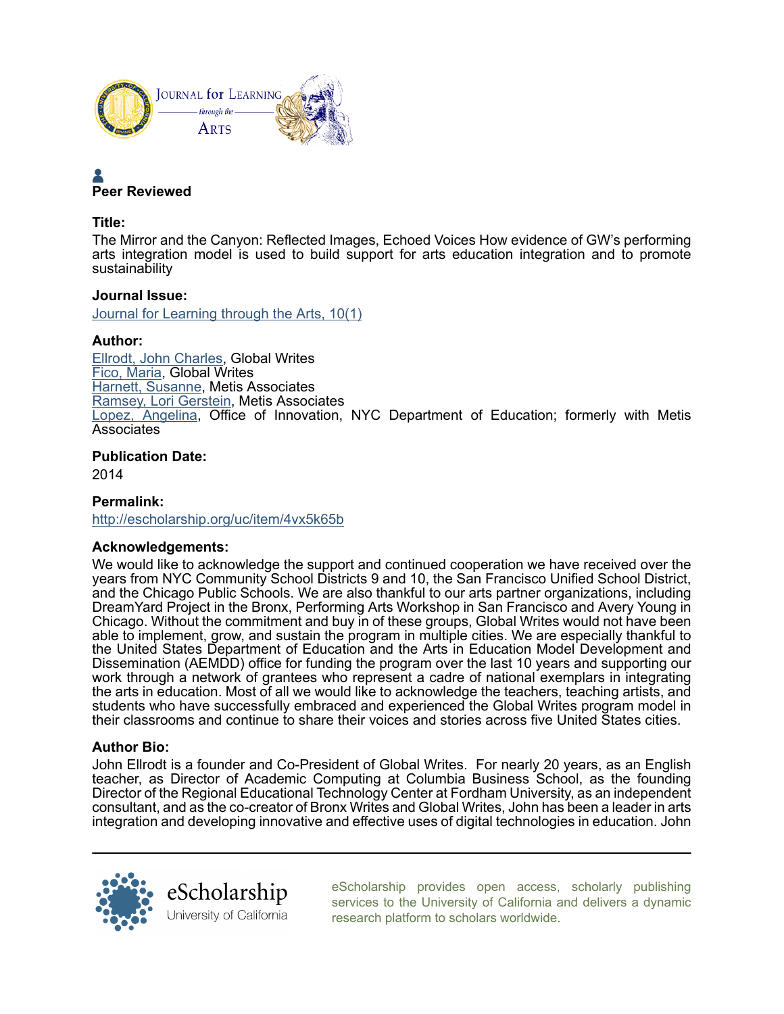

# Peer Reviewed

## Title:

The Mirror and the Canyon: Reflected Images, Echoed Voices How evidence of GW's performing arts integration model is used to build support for arts education integration and to promote sustainability

#### Journal Issue:

[Journal for Learning through the Arts, 10\(1\)](http://escholarship.org/uc/class_lta?volume=10;issue=1)

### Author:

[Ellrodt, John Charles](http://escholarship.org/uc/search?creator=Ellrodt%2C%20John%20Charles), Global Writes [Fico, Maria](http://escholarship.org/uc/search?creator=Fico%2C%20Maria), Global Writes [Harnett, Susanne,](http://escholarship.org/uc/search?creator=Harnett%2C%20Susanne) Metis Associates [Ramsey, Lori Gerstein,](http://escholarship.org/uc/search?creator=Ramsey%2C%20Lori%20Gerstein) Metis Associates [Lopez, Angelina](http://escholarship.org/uc/search?creator=Lopez%2C%20Angelina), Office of Innovation, NYC Department of Education; formerly with Metis Associates

### Publication Date:

2014

## Permalink:

<http://escholarship.org/uc/item/4vx5k65b>

#### Acknowledgements:

We would like to acknowledge the support and continued cooperation we have received over the years from NYC Community School Districts 9 and 10, the San Francisco Unified School District, and the Chicago Public Schools. We are also thankful to our arts partner organizations, including DreamYard Project in the Bronx, Performing Arts Workshop in San Francisco and Avery Young in Chicago. Without the commitment and buy in of these groups, Global Writes would not have been able to implement, grow, and sustain the program in multiple cities. We are especially thankful to the United States Department of Education and the Arts in Education Model Development and Dissemination (AEMDD) office for funding the program over the last 10 years and supporting our work through a network of grantees who represent a cadre of national exemplars in integrating the arts in education. Most of all we would like to acknowledge the teachers, teaching artists, and students who have successfully embraced and experienced the Global Writes program model in their classrooms and continue to share their voices and stories across five United States cities.

# Author Bio:

John Ellrodt is a founder and Co-President of Global Writes. For nearly 20 years, as an English teacher, as Director of Academic Computing at Columbia Business School, as the founding Director of the Regional Educational Technology Center at Fordham University, as an independent consultant, and as the co-creator of Bronx Writes and Global Writes, John has been a leader in arts integration and developing innovative and effective uses of digital technologies in education. John



[eScholarship provides open access, scholarly publishing](http://escholarship.org) [services to the University of California and delivers a dynamic](http://escholarship.org) [research platform to scholars worldwide.](http://escholarship.org)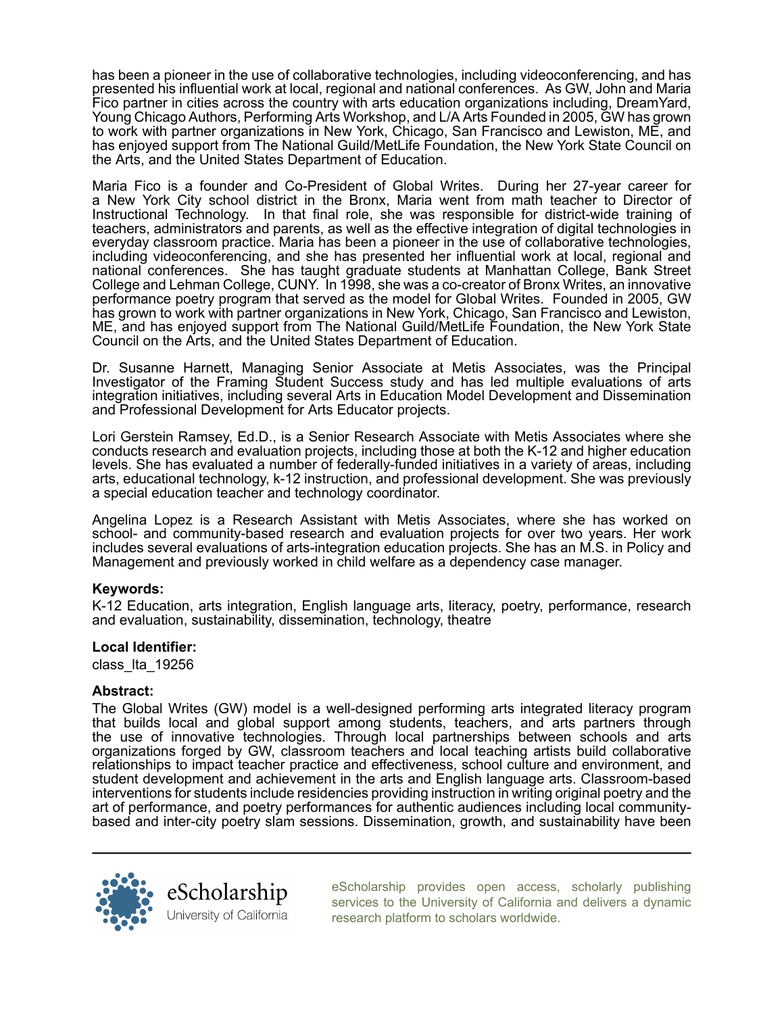has been a pioneer in the use of collaborative technologies, including videoconferencing, and has presented his influential work at local, regional and national conferences. As GW, John and Maria Fico partner in cities across the country with arts education organizations including, DreamYard, Young Chicago Authors, Performing Arts Workshop, and L/A Arts Founded in 2005, GW has grown to work with partner organizations in New York, Chicago, San Francisco and Lewiston, ME, and has enjoyed support from The National Guild/MetLife Foundation, the New York State Council on the Arts, and the United States Department of Education.

Maria Fico is a founder and Co-President of Global Writes. During her 27-year career for a New York City school district in the Bronx, Maria went from math teacher to Director of Instructional Technology. In that final role, she was responsible for district-wide training of teachers, administrators and parents, as well as the effective integration of digital technologies in everyday classroom practice. Maria has been a pioneer in the use of collaborative technologies, including videoconferencing, and she has presented her influential work at local, regional and national conferences. She has taught graduate students at Manhattan College, Bank Street College and Lehman College, CUNY. In 1998, she was a co-creator of Bronx Writes, an innovative performance poetry program that served as the model for Global Writes. Founded in 2005, GW has grown to work with partner organizations in New York, Chicago, San Francisco and Lewiston, ME, and has enjoyed support from The National Guild/MetLife Foundation, the New York State Council on the Arts, and the United States Department of Education.

Dr. Susanne Harnett, Managing Senior Associate at Metis Associates, was the Principal Investigator of the Framing Student Success study and has led multiple evaluations of arts integration initiatives, including several Arts in Education Model Development and Dissemination and Professional Development for Arts Educator projects.

Lori Gerstein Ramsey, Ed.D., is a Senior Research Associate with Metis Associates where she conducts research and evaluation projects, including those at both the K-12 and higher education levels. She has evaluated a number of federally-funded initiatives in a variety of areas, including arts, educational technology, k-12 instruction, and professional development. She was previously a special education teacher and technology coordinator.

Angelina Lopez is a Research Assistant with Metis Associates, where she has worked on school- and community-based research and evaluation projects for over two years. Her work includes several evaluations of arts-integration education projects. She has an M.S. in Policy and Management and previously worked in child welfare as a dependency case manager.

# Keywords:

K-12 Education, arts integration, English language arts, literacy, poetry, performance, research and evaluation, sustainability, dissemination, technology, theatre

#### Local Identifier:

class\_lta\_19256

#### Abstract:

The Global Writes (GW) model is a well-designed performing arts integrated literacy program that builds local and global support among students, teachers, and arts partners through the use of innovative technologies. Through local partnerships between schools and arts organizations forged by GW, classroom teachers and local teaching artists build collaborative relationships to impact teacher practice and effectiveness, school culture and environment, and student development and achievement in the arts and English language arts. Classroom-based interventions for students include residencies providing instruction in writing original poetry and the art of performance, and poetry performances for authentic audiences including local communitybased and inter-city poetry slam sessions. Dissemination, growth, and sustainability have been



[eScholarship provides open access, scholarly publishing](http://escholarship.org) [services to the University of California and delivers a dynamic](http://escholarship.org) [research platform to scholars worldwide.](http://escholarship.org)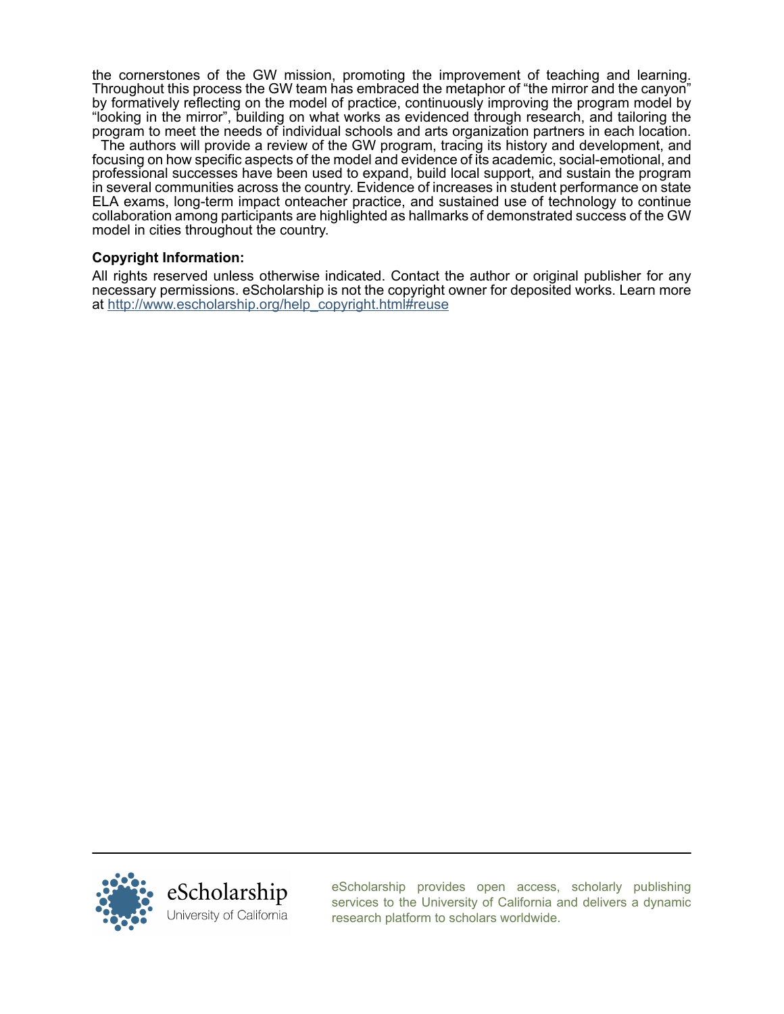the cornerstones of the GW mission, promoting the improvement of teaching and learning. Throughout this process the GW team has embraced the metaphor of "the mirror and the canyon" by formatively reflecting on the model of practice, continuously improving the program model by "looking in the mirror", building on what works as evidenced through research, and tailoring the program to meet the needs of individual schools and arts organization partners in each location.

 The authors will provide a review of the GW program, tracing its history and development, and focusing on how specific aspects of the model and evidence of its academic, social-emotional, and professional successes have been used to expand, build local support, and sustain the program in several communities across the country. Evidence of increases in student performance on state ELA exams, long-term impact onteacher practice, and sustained use of technology to continue collaboration among participants are highlighted as hallmarks of demonstrated success of the GW model in cities throughout the country.

### Copyright Information:

All rights reserved unless otherwise indicated. Contact the author or original publisher for any necessary permissions. eScholarship is not the copyright owner for deposited works. Learn more at [http://www.escholarship.org/help\\_copyright.html#reuse](http://www.escholarship.org/help_copyright.html#reuse)



[eScholarship provides open access, scholarly publishing](http://escholarship.org) [services to the University of California and delivers a dynamic](http://escholarship.org) [research platform to scholars worldwide.](http://escholarship.org)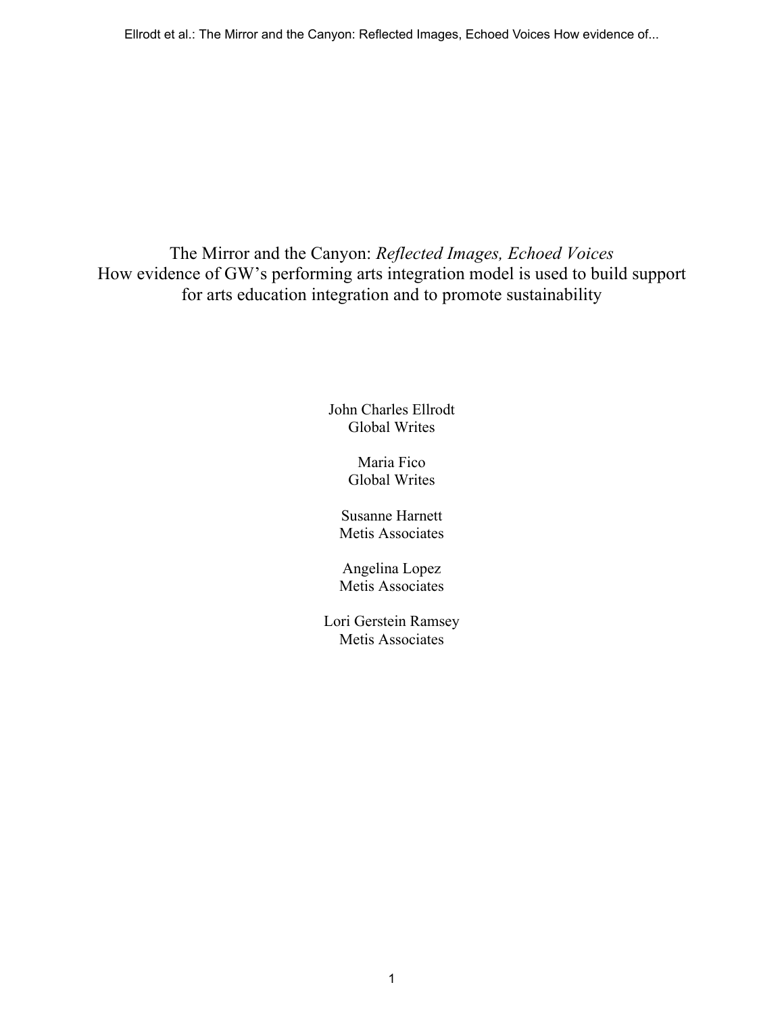Ellrodt et al.: The Mirror and the Canyon: Reflected Images, Echoed Voices How evidence of...

The Mirror and the Canyon: *Reflected Images, Echoed Voices* How evidence of GW's performing arts integration model is used to build support for arts education integration and to promote sustainability

> John Charles Ellrodt Global Writes

> > Maria Fico Global Writes

Susanne Harnett Metis Associates

Angelina Lopez Metis Associates

Lori Gerstein Ramsey Metis Associates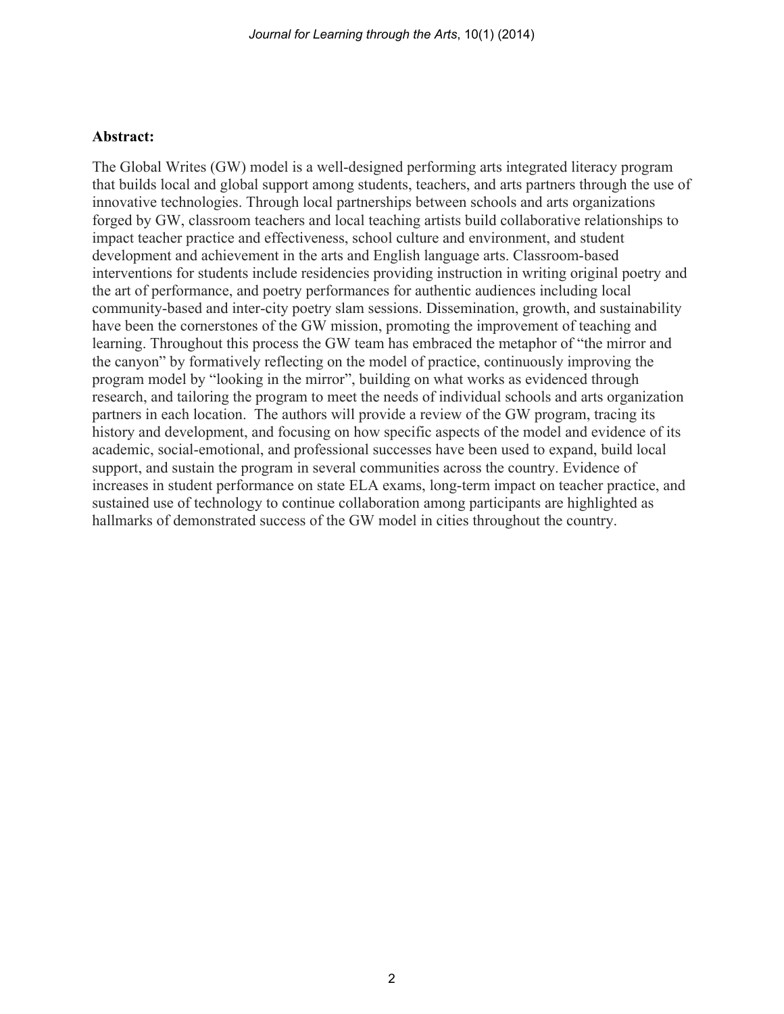#### **Abstract:**

The Global Writes (GW) model is a well-designed performing arts integrated literacy program that builds local and global support among students, teachers, and arts partners through the use of innovative technologies. Through local partnerships between schools and arts organizations forged by GW, classroom teachers and local teaching artists build collaborative relationships to impact teacher practice and effectiveness, school culture and environment, and student development and achievement in the arts and English language arts. Classroom-based interventions for students include residencies providing instruction in writing original poetry and the art of performance, and poetry performances for authentic audiences including local community-based and inter-city poetry slam sessions. Dissemination, growth, and sustainability have been the cornerstones of the GW mission, promoting the improvement of teaching and learning. Throughout this process the GW team has embraced the metaphor of "the mirror and the canyon" by formatively reflecting on the model of practice, continuously improving the program model by "looking in the mirror", building on what works as evidenced through research, and tailoring the program to meet the needs of individual schools and arts organization partners in each location. The authors will provide a review of the GW program, tracing its history and development, and focusing on how specific aspects of the model and evidence of its academic, social-emotional, and professional successes have been used to expand, build local support, and sustain the program in several communities across the country. Evidence of increases in student performance on state ELA exams, long-term impact on teacher practice, and sustained use of technology to continue collaboration among participants are highlighted as hallmarks of demonstrated success of the GW model in cities throughout the country.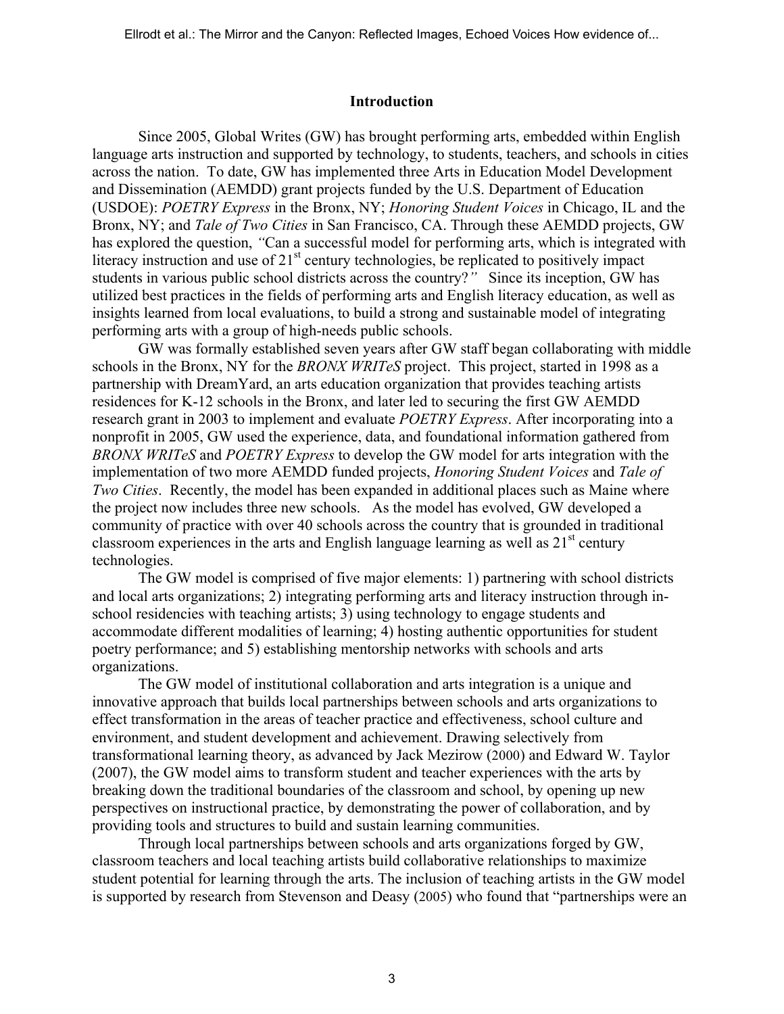## **Introduction**

Since 2005, Global Writes (GW) has brought performing arts, embedded within English language arts instruction and supported by technology, to students, teachers, and schools in cities across the nation. To date, GW has implemented three Arts in Education Model Development and Dissemination (AEMDD) grant projects funded by the U.S. Department of Education (USDOE): *POETRY Express* in the Bronx, NY; *Honoring Student Voices* in Chicago, IL and the Bronx, NY; and *Tale of Two Cities* in San Francisco, CA. Through these AEMDD projects, GW has explored the question, *"*Can a successful model for performing arts, which is integrated with literacy instruction and use of  $21<sup>st</sup>$  century technologies, be replicated to positively impact students in various public school districts across the country?*"* Since its inception, GW has utilized best practices in the fields of performing arts and English literacy education, as well as insights learned from local evaluations, to build a strong and sustainable model of integrating performing arts with a group of high-needs public schools.

GW was formally established seven years after GW staff began collaborating with middle schools in the Bronx, NY for the *BRONX WRITeS* project. This project, started in 1998 as a partnership with DreamYard, an arts education organization that provides teaching artists residences for K-12 schools in the Bronx, and later led to securing the first GW AEMDD research grant in 2003 to implement and evaluate *POETRY Express*. After incorporating into a nonprofit in 2005, GW used the experience, data, and foundational information gathered from *BRONX WRITeS* and *POETRY Express* to develop the GW model for arts integration with the implementation of two more AEMDD funded projects, *Honoring Student Voices* and *Tale of Two Cities*. Recently, the model has been expanded in additional places such as Maine where the project now includes three new schools. As the model has evolved, GW developed a community of practice with over 40 schools across the country that is grounded in traditional classroom experiences in the arts and English language learning as well as  $21<sup>st</sup>$  century technologies.

The GW model is comprised of five major elements: 1) partnering with school districts and local arts organizations; 2) integrating performing arts and literacy instruction through inschool residencies with teaching artists; 3) using technology to engage students and accommodate different modalities of learning; 4) hosting authentic opportunities for student poetry performance; and 5) establishing mentorship networks with schools and arts organizations.

The GW model of institutional collaboration and arts integration is a unique and innovative approach that builds local partnerships between schools and arts organizations to effect transformation in the areas of teacher practice and effectiveness, school culture and environment, and student development and achievement. Drawing selectively from transformational learning theory, as advanced by Jack Mezirow (2000) and Edward W. Taylor (2007), the GW model aims to transform student and teacher experiences with the arts by breaking down the traditional boundaries of the classroom and school, by opening up new perspectives on instructional practice, by demonstrating the power of collaboration, and by providing tools and structures to build and sustain learning communities.

Through local partnerships between schools and arts organizations forged by GW, classroom teachers and local teaching artists build collaborative relationships to maximize student potential for learning through the arts. The inclusion of teaching artists in the GW model is supported by research from Stevenson and Deasy (2005) who found that "partnerships were an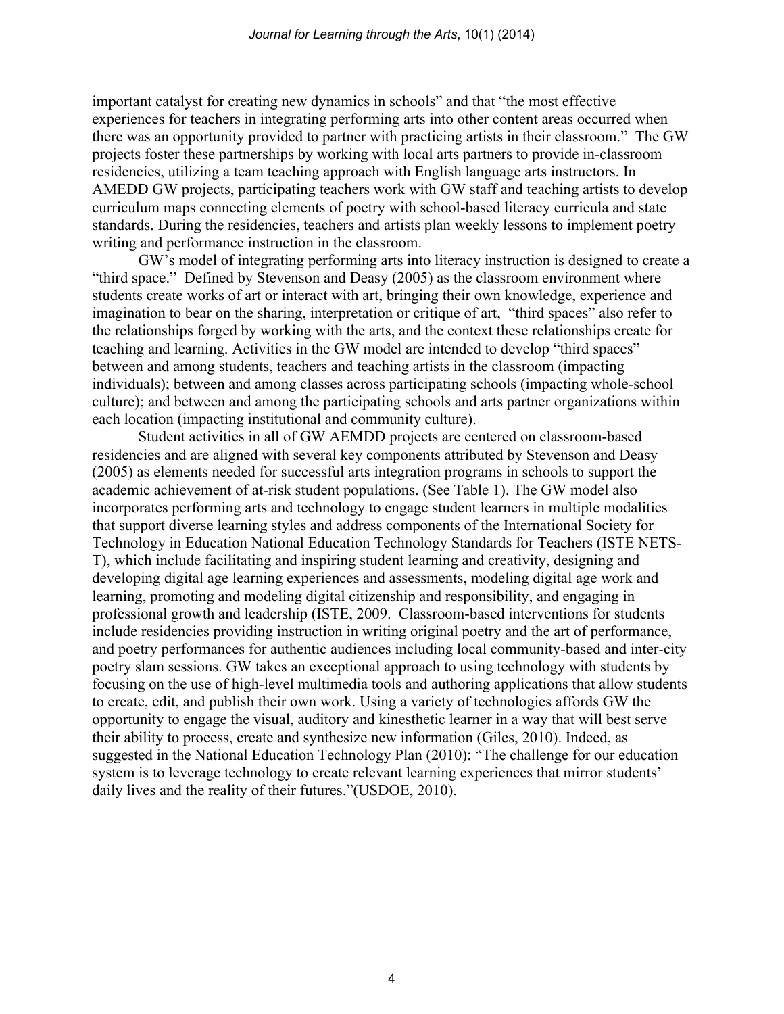important catalyst for creating new dynamics in schools" and that "the most effective experiences for teachers in integrating performing arts into other content areas occurred when there was an opportunity provided to partner with practicing artists in their classroom." The GW projects foster these partnerships by working with local arts partners to provide in-classroom residencies, utilizing a team teaching approach with English language arts instructors. In AMEDD GW projects, participating teachers work with GW staff and teaching artists to develop curriculum maps connecting elements of poetry with school-based literacy curricula and state standards. During the residencies, teachers and artists plan weekly lessons to implement poetry writing and performance instruction in the classroom.

GW's model of integrating performing arts into literacy instruction is designed to create a "third space." Defined by Stevenson and Deasy (2005) as the classroom environment where students create works of art or interact with art, bringing their own knowledge, experience and imagination to bear on the sharing, interpretation or critique of art, "third spaces" also refer to the relationships forged by working with the arts, and the context these relationships create for teaching and learning. Activities in the GW model are intended to develop "third spaces" between and among students, teachers and teaching artists in the classroom (impacting individuals); between and among classes across participating schools (impacting whole-school culture); and between and among the participating schools and arts partner organizations within each location (impacting institutional and community culture).

Student activities in all of GW AEMDD projects are centered on classroom-based residencies and are aligned with several key components attributed by Stevenson and Deasy (2005) as elements needed for successful arts integration programs in schools to support the academic achievement of at-risk student populations. (See Table 1). The GW model also incorporates performing arts and technology to engage student learners in multiple modalities that support diverse learning styles and address components of the International Society for Technology in Education National Education Technology Standards for Teachers (ISTE NETS-T), which include facilitating and inspiring student learning and creativity, designing and developing digital age learning experiences and assessments, modeling digital age work and learning, promoting and modeling digital citizenship and responsibility, and engaging in professional growth and leadership (ISTE, 2009. Classroom-based interventions for students include residencies providing instruction in writing original poetry and the art of performance, and poetry performances for authentic audiences including local community-based and inter-city poetry slam sessions. GW takes an exceptional approach to using technology with students by focusing on the use of high-level multimedia tools and authoring applications that allow students to create, edit, and publish their own work. Using a variety of technologies affords GW the opportunity to engage the visual, auditory and kinesthetic learner in a way that will best serve their ability to process, create and synthesize new information (Giles, 2010). Indeed, as suggested in the National Education Technology Plan (2010): "The challenge for our education system is to leverage technology to create relevant learning experiences that mirror students' daily lives and the reality of their futures."(USDOE, 2010).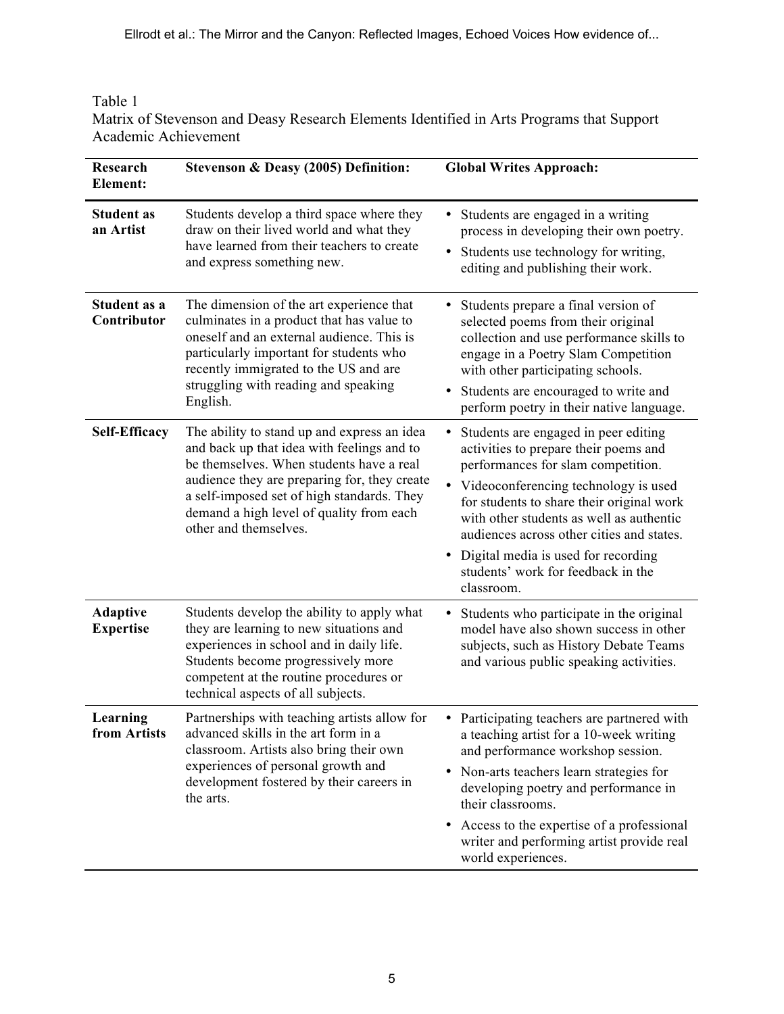Table 1

Matrix of Stevenson and Deasy Research Elements Identified in Arts Programs that Support Academic Achievement

| <b>Research</b><br><b>Element:</b>  | Stevenson & Deasy (2005) Definition:                                                                                                                                                                                                                                                                     | <b>Global Writes Approach:</b>                                                                                                                                                                                                                                                                                                                                                                                              |
|-------------------------------------|----------------------------------------------------------------------------------------------------------------------------------------------------------------------------------------------------------------------------------------------------------------------------------------------------------|-----------------------------------------------------------------------------------------------------------------------------------------------------------------------------------------------------------------------------------------------------------------------------------------------------------------------------------------------------------------------------------------------------------------------------|
| <b>Student as</b><br>an Artist      | Students develop a third space where they<br>draw on their lived world and what they<br>have learned from their teachers to create<br>and express something new.                                                                                                                                         | Students are engaged in a writing<br>٠<br>process in developing their own poetry.<br>Students use technology for writing,<br>$\bullet$<br>editing and publishing their work.                                                                                                                                                                                                                                                |
| Student as a<br>Contributor         | The dimension of the art experience that<br>culminates in a product that has value to<br>oneself and an external audience. This is<br>particularly important for students who<br>recently immigrated to the US and are<br>struggling with reading and speaking<br>English.                               | Students prepare a final version of<br>٠<br>selected poems from their original<br>collection and use performance skills to<br>engage in a Poetry Slam Competition<br>with other participating schools.<br>Students are encouraged to write and<br>$\bullet$<br>perform poetry in their native language.                                                                                                                     |
| <b>Self-Efficacy</b>                | The ability to stand up and express an idea<br>and back up that idea with feelings and to<br>be themselves. When students have a real<br>audience they are preparing for, they create<br>a self-imposed set of high standards. They<br>demand a high level of quality from each<br>other and themselves. | Students are engaged in peer editing<br>٠<br>activities to prepare their poems and<br>performances for slam competition.<br>Videoconferencing technology is used<br>$\bullet$<br>for students to share their original work<br>with other students as well as authentic<br>audiences across other cities and states.<br>Digital media is used for recording<br>$\bullet$<br>students' work for feedback in the<br>classroom. |
| <b>Adaptive</b><br><b>Expertise</b> | Students develop the ability to apply what<br>they are learning to new situations and<br>experiences in school and in daily life.<br>Students become progressively more<br>competent at the routine procedures or<br>technical aspects of all subjects.                                                  | Students who participate in the original<br>٠<br>model have also shown success in other<br>subjects, such as History Debate Teams<br>and various public speaking activities.                                                                                                                                                                                                                                                |
| Learning<br>from Artists            | Partnerships with teaching artists allow for<br>advanced skills in the art form in a<br>classroom. Artists also bring their own<br>experiences of personal growth and<br>development fostered by their careers in<br>the arts.                                                                           | Participating teachers are partnered with<br>٠<br>a teaching artist for a 10-week writing<br>and performance workshop session.<br>Non-arts teachers learn strategies for<br>developing poetry and performance in<br>their classrooms.<br>Access to the expertise of a professional<br>$\bullet$<br>writer and performing artist provide real<br>world experiences.                                                          |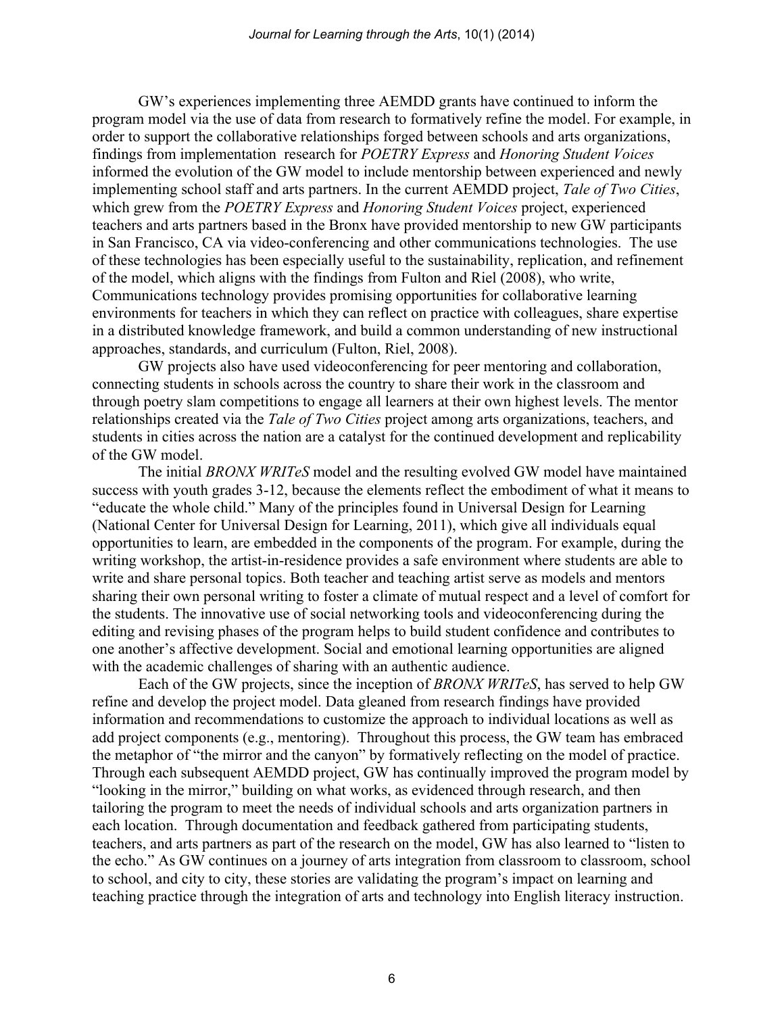GW's experiences implementing three AEMDD grants have continued to inform the program model via the use of data from research to formatively refine the model. For example, in order to support the collaborative relationships forged between schools and arts organizations, findings from implementation research for *POETRY Express* and *Honoring Student Voices* informed the evolution of the GW model to include mentorship between experienced and newly implementing school staff and arts partners. In the current AEMDD project, *Tale of Two Cities*, which grew from the *POETRY Express* and *Honoring Student Voices* project, experienced teachers and arts partners based in the Bronx have provided mentorship to new GW participants in San Francisco, CA via video-conferencing and other communications technologies. The use of these technologies has been especially useful to the sustainability, replication, and refinement of the model, which aligns with the findings from Fulton and Riel (2008), who write, Communications technology provides promising opportunities for collaborative learning environments for teachers in which they can reflect on practice with colleagues, share expertise in a distributed knowledge framework, and build a common understanding of new instructional approaches, standards, and curriculum (Fulton, Riel, 2008).

GW projects also have used videoconferencing for peer mentoring and collaboration, connecting students in schools across the country to share their work in the classroom and through poetry slam competitions to engage all learners at their own highest levels. The mentor relationships created via the *Tale of Two Cities* project among arts organizations, teachers, and students in cities across the nation are a catalyst for the continued development and replicability of the GW model.

The initial *BRONX WRITeS* model and the resulting evolved GW model have maintained success with youth grades 3-12, because the elements reflect the embodiment of what it means to "educate the whole child." Many of the principles found in Universal Design for Learning (National Center for Universal Design for Learning, 2011), which give all individuals equal opportunities to learn, are embedded in the components of the program. For example, during the writing workshop, the artist-in-residence provides a safe environment where students are able to write and share personal topics. Both teacher and teaching artist serve as models and mentors sharing their own personal writing to foster a climate of mutual respect and a level of comfort for the students. The innovative use of social networking tools and videoconferencing during the editing and revising phases of the program helps to build student confidence and contributes to one another's affective development. Social and emotional learning opportunities are aligned with the academic challenges of sharing with an authentic audience.

Each of the GW projects, since the inception of *BRONX WRITeS*, has served to help GW refine and develop the project model. Data gleaned from research findings have provided information and recommendations to customize the approach to individual locations as well as add project components (e.g., mentoring). Throughout this process, the GW team has embraced the metaphor of "the mirror and the canyon" by formatively reflecting on the model of practice. Through each subsequent AEMDD project, GW has continually improved the program model by "looking in the mirror," building on what works, as evidenced through research, and then tailoring the program to meet the needs of individual schools and arts organization partners in each location. Through documentation and feedback gathered from participating students, teachers, and arts partners as part of the research on the model, GW has also learned to "listen to the echo." As GW continues on a journey of arts integration from classroom to classroom, school to school, and city to city, these stories are validating the program's impact on learning and teaching practice through the integration of arts and technology into English literacy instruction.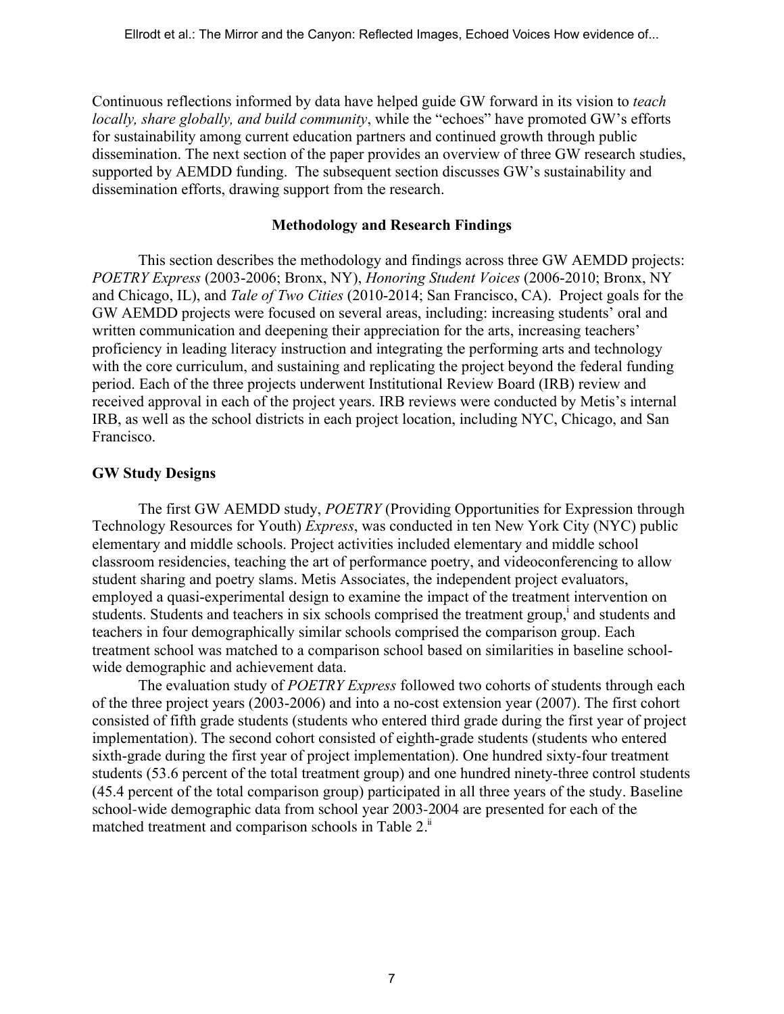Continuous reflections informed by data have helped guide GW forward in its vision to *teach locally, share globally, and build community*, while the "echoes" have promoted GW's efforts for sustainability among current education partners and continued growth through public dissemination. The next section of the paper provides an overview of three GW research studies, supported by AEMDD funding. The subsequent section discusses GW's sustainability and dissemination efforts, drawing support from the research.

# **Methodology and Research Findings**

This section describes the methodology and findings across three GW AEMDD projects: *POETRY Express* (2003-2006; Bronx, NY), *Honoring Student Voices* (2006-2010; Bronx, NY and Chicago, IL), and *Tale of Two Cities* (2010-2014; San Francisco, CA). Project goals for the GW AEMDD projects were focused on several areas, including: increasing students' oral and written communication and deepening their appreciation for the arts, increasing teachers' proficiency in leading literacy instruction and integrating the performing arts and technology with the core curriculum, and sustaining and replicating the project beyond the federal funding period. Each of the three projects underwent Institutional Review Board (IRB) review and received approval in each of the project years. IRB reviews were conducted by Metis's internal IRB, as well as the school districts in each project location, including NYC, Chicago, and San Francisco.

# **GW Study Designs**

The first GW AEMDD study, *POETRY* (Providing Opportunities for Expression through Technology Resources for Youth) *Express*, was conducted in ten New York City (NYC) public elementary and middle schools. Project activities included elementary and middle school classroom residencies, teaching the art of performance poetry, and videoconferencing to allow student sharing and poetry slams. Metis Associates, the independent project evaluators, employed a quasi-experimental design to examine the impact of the treatment intervention on students. Students and teachers in six schools comprised the treatment group,<sup>i</sup> and students and teachers in four demographically similar schools comprised the comparison group. Each treatment school was matched to a comparison school based on similarities in baseline schoolwide demographic and achievement data.

The evaluation study of *POETRY Express* followed two cohorts of students through each of the three project years (2003-2006) and into a no-cost extension year (2007). The first cohort consisted of fifth grade students (students who entered third grade during the first year of project implementation). The second cohort consisted of eighth-grade students (students who entered sixth-grade during the first year of project implementation). One hundred sixty-four treatment students (53.6 percent of the total treatment group) and one hundred ninety-three control students (45.4 percent of the total comparison group) participated in all three years of the study. Baseline school-wide demographic data from school year 2003-2004 are presented for each of the matched treatment and comparison schools in Table 2.<sup>ii</sup>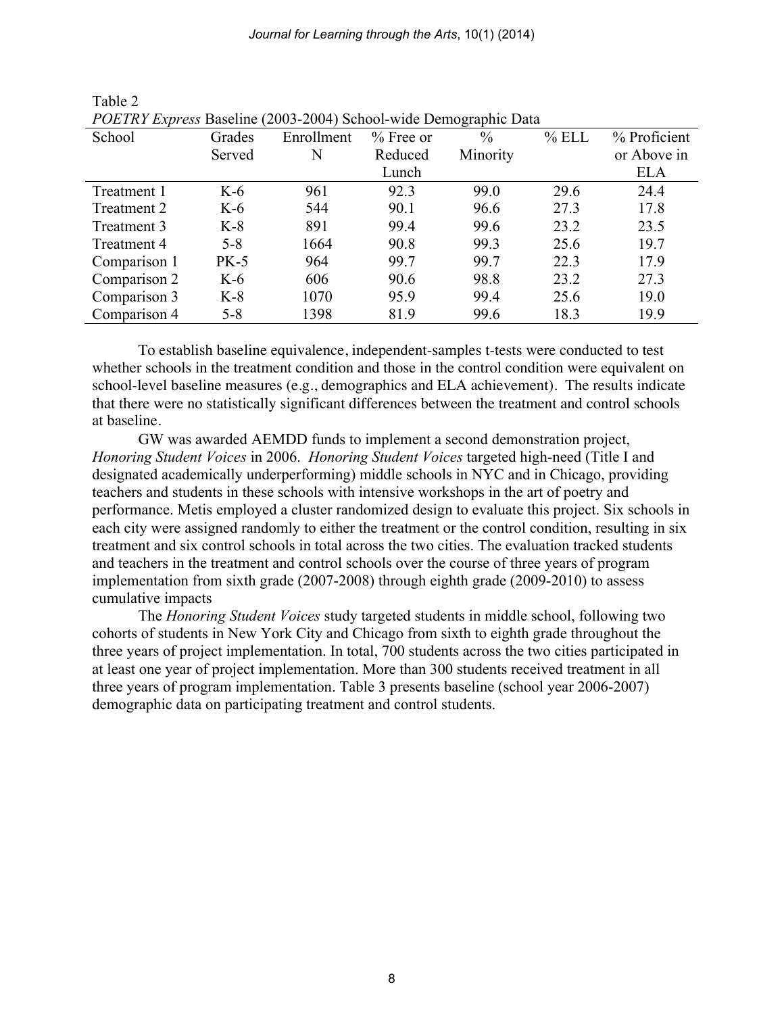*Journal for Learning through the Arts*, 10(1) (2014)

|              |         | $-000 - 000 + 1$ | $500001$ $m = 5000$ |               |         |              |
|--------------|---------|------------------|---------------------|---------------|---------|--------------|
| School       | Grades  | Enrollment       | % Free or           | $\frac{0}{0}$ | $%$ ELL | % Proficient |
|              | Served  | N                | Reduced             | Minority      |         | or Above in  |
|              |         |                  | Lunch               |               |         | <b>ELA</b>   |
| Treatment 1  | $K-6$   | 961              | 92.3                | 99.0          | 29.6    | 24.4         |
| Treatment 2  | $K-6$   | 544              | 90.1                | 96.6          | 27.3    | 17.8         |
| Treatment 3  | $K-8$   | 891              | 99.4                | 99.6          | 23.2    | 23.5         |
| Treatment 4  | $5 - 8$ | 1664             | 90.8                | 99.3          | 25.6    | 19.7         |
| Comparison 1 | $PK-5$  | 964              | 99.7                | 99.7          | 22.3    | 17.9         |
| Comparison 2 | $K-6$   | 606              | 90.6                | 98.8          | 23.2    | 27.3         |
| Comparison 3 | $K-8$   | 1070             | 95.9                | 99.4          | 25.6    | 19.0         |
| Comparison 4 | $5 - 8$ | 1398             | 81.9                | 99.6          | 18.3    | 19.9         |

Table 2 *POETRY Express* Baseline (2003-2004) School-wide Demographic Data

To establish baseline equivalence, independent-samples t-tests were conducted to test whether schools in the treatment condition and those in the control condition were equivalent on school-level baseline measures (e.g., demographics and ELA achievement). The results indicate that there were no statistically significant differences between the treatment and control schools at baseline.

GW was awarded AEMDD funds to implement a second demonstration project, *Honoring Student Voices* in 2006. *Honoring Student Voices* targeted high-need (Title I and designated academically underperforming) middle schools in NYC and in Chicago, providing teachers and students in these schools with intensive workshops in the art of poetry and performance. Metis employed a cluster randomized design to evaluate this project. Six schools in each city were assigned randomly to either the treatment or the control condition, resulting in six treatment and six control schools in total across the two cities. The evaluation tracked students and teachers in the treatment and control schools over the course of three years of program implementation from sixth grade (2007-2008) through eighth grade (2009-2010) to assess cumulative impacts

The *Honoring Student Voices* study targeted students in middle school, following two cohorts of students in New York City and Chicago from sixth to eighth grade throughout the three years of project implementation. In total, 700 students across the two cities participated in at least one year of project implementation. More than 300 students received treatment in all three years of program implementation. Table 3 presents baseline (school year 2006-2007) demographic data on participating treatment and control students.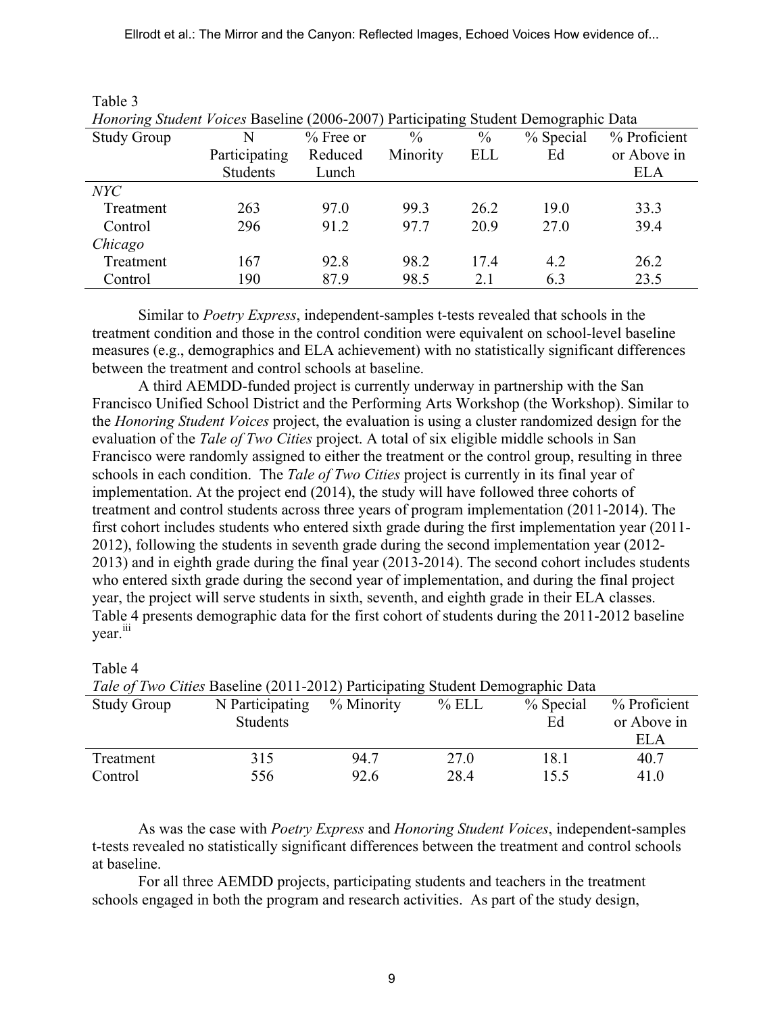Ellrodt et al.: The Mirror and the Canyon: Reflected Images, Echoed Voices How evidence of...

| Tronoring Student Volces Daschile (2000-2007) Family Student Demographic Data |                 |             |          |               |           |              |  |
|-------------------------------------------------------------------------------|-----------------|-------------|----------|---------------|-----------|--------------|--|
| <b>Study Group</b>                                                            |                 | $%$ Free or | $\%$     | $\frac{0}{0}$ | % Special | % Proficient |  |
|                                                                               | Participating   | Reduced     | Minority | <b>ELL</b>    | Ed        | or Above in  |  |
|                                                                               | <b>Students</b> | Lunch       |          |               |           | <b>ELA</b>   |  |
| N <sup>Y</sup> C                                                              |                 |             |          |               |           |              |  |
| Treatment                                                                     | 263             | 97.0        | 99.3     | 26.2          | 19.0      | 33.3         |  |
| Control                                                                       | 296             | 91.2        | 97.7     | 20.9          | 27.0      | 39.4         |  |
| Chicago                                                                       |                 |             |          |               |           |              |  |
| Treatment                                                                     | 167             | 92.8        | 98.2     | 17.4          | 4.2       | 26.2         |  |
| Control                                                                       | 190             | 87.9        | 98.5     | 2.1           | 6.3       | 23.5         |  |

Table 3 *Honoring Student Voices* Baseline (2006-2007) Participating Student Demographic Data

Similar to *Poetry Express*, independent-samples t-tests revealed that schools in the treatment condition and those in the control condition were equivalent on school-level baseline measures (e.g., demographics and ELA achievement) with no statistically significant differences between the treatment and control schools at baseline.

A third AEMDD-funded project is currently underway in partnership with the San Francisco Unified School District and the Performing Arts Workshop (the Workshop). Similar to the *Honoring Student Voices* project, the evaluation is using a cluster randomized design for the evaluation of the *Tale of Two Cities* project. A total of six eligible middle schools in San Francisco were randomly assigned to either the treatment or the control group, resulting in three schools in each condition. The *Tale of Two Cities* project is currently in its final year of implementation. At the project end (2014), the study will have followed three cohorts of treatment and control students across three years of program implementation (2011-2014). The first cohort includes students who entered sixth grade during the first implementation year (2011- 2012), following the students in seventh grade during the second implementation year (2012- 2013) and in eighth grade during the final year (2013-2014). The second cohort includes students who entered sixth grade during the second year of implementation, and during the final project year, the project will serve students in sixth, seventh, and eighth grade in their ELA classes. Table 4 presents demographic data for the first cohort of students during the 2011-2012 baseline year.<sup>iii</sup>

#### Table 4

| Tale of Two Cities Baseline (2011-2012) Participating Student Demographic Data |                 |            |         |           |              |  |  |  |
|--------------------------------------------------------------------------------|-----------------|------------|---------|-----------|--------------|--|--|--|
| <b>Study Group</b>                                                             | N Participating | % Minority | $%$ ELL | % Special | % Proficient |  |  |  |
|                                                                                | <b>Students</b> |            |         | Ed        | or Above in  |  |  |  |
|                                                                                |                 |            |         |           | ELA          |  |  |  |
| Treatment                                                                      | 315             | 94.7       | 27.0    | 18.1      | 40.7         |  |  |  |
| Control                                                                        | 556             | 92.6       | 28.4    | 155       | 41.0         |  |  |  |

As was the case with *Poetry Express* and *Honoring Student Voices*, independent-samples t-tests revealed no statistically significant differences between the treatment and control schools at baseline.

For all three AEMDD projects, participating students and teachers in the treatment schools engaged in both the program and research activities. As part of the study design,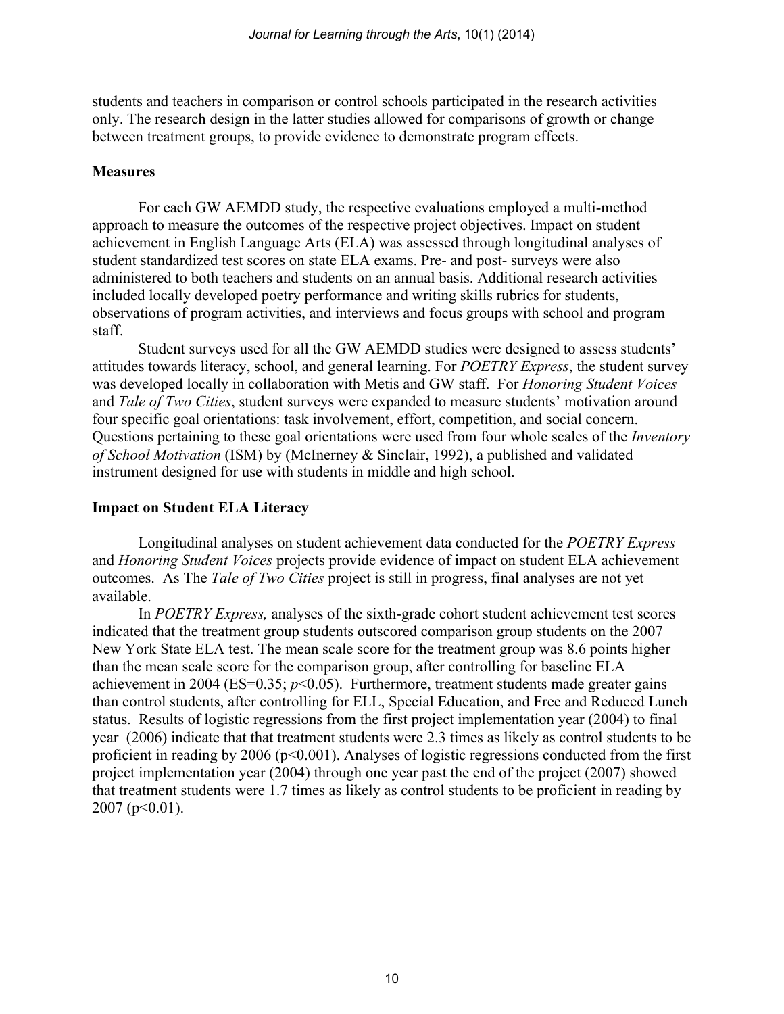students and teachers in comparison or control schools participated in the research activities only. The research design in the latter studies allowed for comparisons of growth or change between treatment groups, to provide evidence to demonstrate program effects.

# **Measures**

For each GW AEMDD study, the respective evaluations employed a multi-method approach to measure the outcomes of the respective project objectives. Impact on student achievement in English Language Arts (ELA) was assessed through longitudinal analyses of student standardized test scores on state ELA exams. Pre- and post- surveys were also administered to both teachers and students on an annual basis. Additional research activities included locally developed poetry performance and writing skills rubrics for students, observations of program activities, and interviews and focus groups with school and program staff.

Student surveys used for all the GW AEMDD studies were designed to assess students' attitudes towards literacy, school, and general learning. For *POETRY Express*, the student survey was developed locally in collaboration with Metis and GW staff. For *Honoring Student Voices* and *Tale of Two Cities*, student surveys were expanded to measure students' motivation around four specific goal orientations: task involvement, effort, competition, and social concern. Questions pertaining to these goal orientations were used from four whole scales of the *Inventory of School Motivation* (ISM) by (McInerney & Sinclair, 1992), a published and validated instrument designed for use with students in middle and high school.

## **Impact on Student ELA Literacy**

Longitudinal analyses on student achievement data conducted for the *POETRY Express*  and *Honoring Student Voices* projects provide evidence of impact on student ELA achievement outcomes. As The *Tale of Two Cities* project is still in progress, final analyses are not yet available.

In *POETRY Express,* analyses of the sixth-grade cohort student achievement test scores indicated that the treatment group students outscored comparison group students on the 2007 New York State ELA test. The mean scale score for the treatment group was 8.6 points higher than the mean scale score for the comparison group, after controlling for baseline ELA achievement in 2004 (ES=0.35;  $p<0.05$ ). Furthermore, treatment students made greater gains than control students, after controlling for ELL, Special Education, and Free and Reduced Lunch status. Results of logistic regressions from the first project implementation year (2004) to final year (2006) indicate that that treatment students were 2.3 times as likely as control students to be proficient in reading by  $2006$  ( $p<0.001$ ). Analyses of logistic regressions conducted from the first project implementation year (2004) through one year past the end of the project (2007) showed that treatment students were 1.7 times as likely as control students to be proficient in reading by 2007 (p<0.01).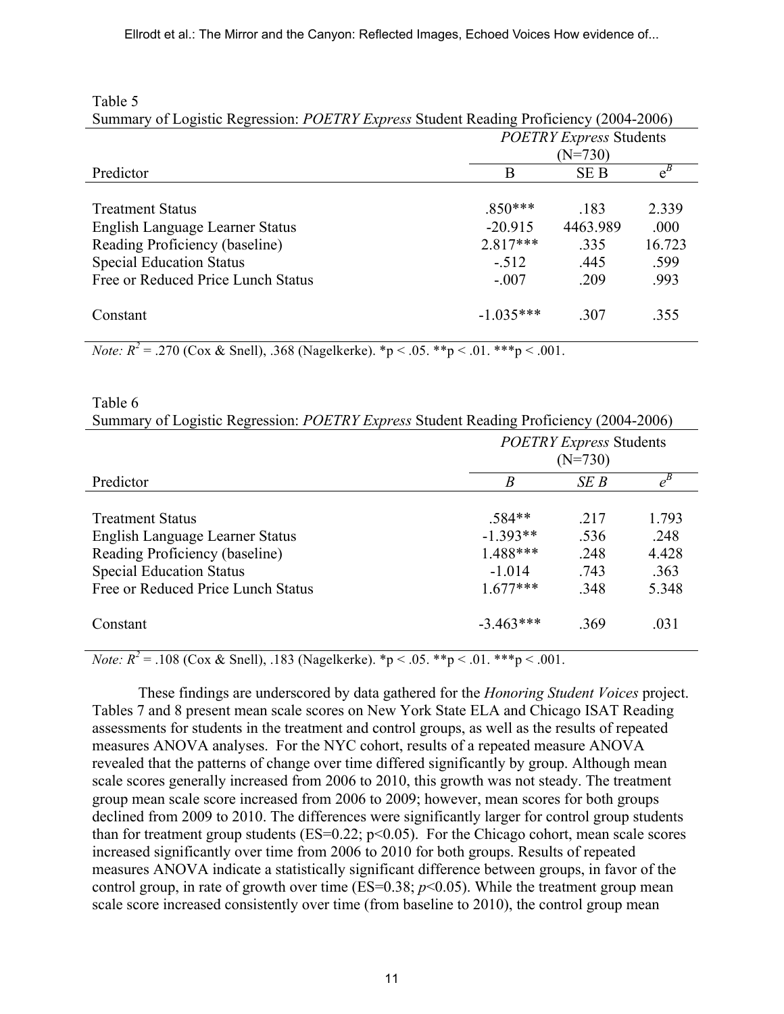Ellrodt et al.: The Mirror and the Canyon: Reflected Images, Echoed Voices How evidence of...

| able |  |
|------|--|
|------|--|

| Summary of Logistic Regression: <i>POETRY Express</i> Student Reading Proficiency (2004-2006) |             |            |         |  |  |
|-----------------------------------------------------------------------------------------------|-------------|------------|---------|--|--|
| <b>POETRY Express Students</b>                                                                |             |            |         |  |  |
|                                                                                               | $(N=730)$   |            |         |  |  |
| Predictor                                                                                     | B           | <b>SEB</b> | $e^{B}$ |  |  |
|                                                                                               |             |            |         |  |  |
| <b>Treatment Status</b>                                                                       | $.850***$   | .183       | 2.339   |  |  |
| English Language Learner Status                                                               | $-20.915$   | 4463.989   | .000    |  |  |
| Reading Proficiency (baseline)                                                                | $2.817***$  | .335       | 16.723  |  |  |
| <b>Special Education Status</b>                                                               | $-.512$     | .445       | .599    |  |  |
| Free or Reduced Price Lunch Status                                                            | $-.007$     | .209       | .993    |  |  |
| Constant                                                                                      | $-1.035***$ | .307       | .355    |  |  |

*Note:*  $R^2$  = .270 (Cox & Snell), .368 (Nagelkerke). \*p < .05. \*\*p < .01. \*\*\*p < .001.

#### Table 6 Summary of Logistic Regression: *POETRY Express* Student Reading Proficiency (2004-2006)

|                                    | <b>POETRY Express Students</b><br>$(N=730)$ |      |         |  |  |
|------------------------------------|---------------------------------------------|------|---------|--|--|
| Predictor                          | B                                           | SE B | $e^{b}$ |  |  |
|                                    |                                             |      |         |  |  |
| <b>Treatment Status</b>            | 584**                                       | .217 | 1.793   |  |  |
| English Language Learner Status    | $-1.393**$                                  | .536 | .248    |  |  |
| Reading Proficiency (baseline)     | 1.488***                                    | .248 | 4.428   |  |  |
| <b>Special Education Status</b>    | $-1.014$                                    | .743 | .363    |  |  |
| Free or Reduced Price Lunch Status | $1.677***$                                  | .348 | 5.348   |  |  |
| Constant                           | $-3.463***$                                 | .369 | -031    |  |  |

*Note:*  $R^2 = .108$  (Cox & Snell), .183 (Nagelkerke). \*p < .05. \*\*p < .01. \*\*\*p < .001.

These findings are underscored by data gathered for the *Honoring Student Voices* project. Tables 7 and 8 present mean scale scores on New York State ELA and Chicago ISAT Reading assessments for students in the treatment and control groups, as well as the results of repeated measures ANOVA analyses. For the NYC cohort, results of a repeated measure ANOVA revealed that the patterns of change over time differed significantly by group. Although mean scale scores generally increased from 2006 to 2010, this growth was not steady. The treatment group mean scale score increased from 2006 to 2009; however, mean scores for both groups declined from 2009 to 2010. The differences were significantly larger for control group students than for treatment group students ( $ES=0.22$ ;  $p<0.05$ ). For the Chicago cohort, mean scale scores increased significantly over time from 2006 to 2010 for both groups. Results of repeated measures ANOVA indicate a statistically significant difference between groups, in favor of the control group, in rate of growth over time  $(ES=0.38; p<0.05)$ . While the treatment group mean scale score increased consistently over time (from baseline to 2010), the control group mean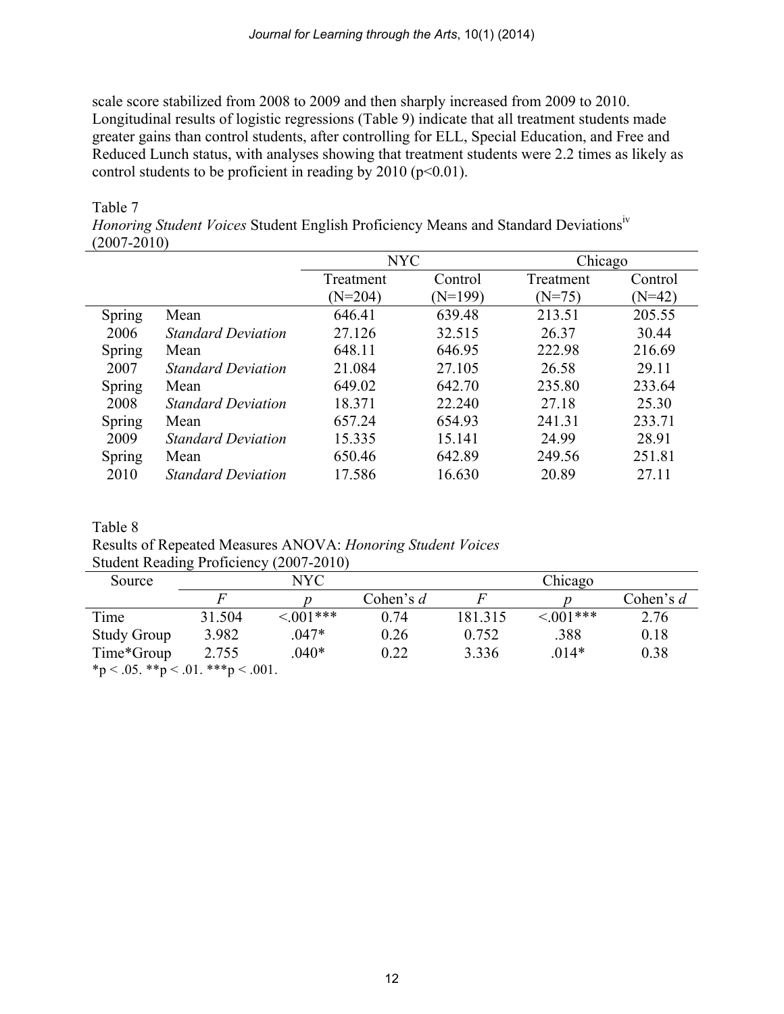scale score stabilized from 2008 to 2009 and then sharply increased from 2009 to 2010. Longitudinal results of logistic regressions (Table 9) indicate that all treatment students made greater gains than control students, after controlling for ELL, Special Education, and Free and Reduced Lunch status, with analyses showing that treatment students were 2.2 times as likely as control students to be proficient in reading by 2010 ( $p \le 0.01$ ).

Table 7

*Honoring Student Voices* Student English Proficiency Means and Standard Deviations<sup>iv</sup> (2007-2010)

|        |                           | <b>NYC</b> |           | Chicago   |          |  |
|--------|---------------------------|------------|-----------|-----------|----------|--|
|        |                           | Treatment  | Control   | Treatment | Control  |  |
|        |                           | $(N=204)$  | $(N=199)$ | $(N=75)$  | $(N=42)$ |  |
| Spring | Mean                      | 646.41     | 639.48    | 213.51    | 205.55   |  |
| 2006   | <b>Standard Deviation</b> | 27.126     | 32.515    | 26.37     | 30.44    |  |
| Spring | Mean                      | 648.11     | 646.95    | 222.98    | 216.69   |  |
| 2007   | <b>Standard Deviation</b> | 21.084     | 27.105    | 26.58     | 29.11    |  |
| Spring | Mean                      | 649.02     | 642.70    | 235.80    | 233.64   |  |
| 2008   | <b>Standard Deviation</b> | 18.371     | 22.240    | 27.18     | 25.30    |  |
| Spring | Mean                      | 657.24     | 654.93    | 241.31    | 233.71   |  |
| 2009   | <b>Standard Deviation</b> | 15.335     | 15.141    | 24.99     | 28.91    |  |
| Spring | Mean                      | 650.46     | 642.89    | 249.56    | 251.81   |  |
| 2010   | <b>Standard Deviation</b> | 17.586     | 16.630    | 20.89     | 27.11    |  |

# Table 8

Results of Repeated Measures ANOVA: *Honoring Student Voices* Student Reading Proficiency (2007-2010)

| Source                            | NYC-   |           |             | Chicago |           |             |  |
|-----------------------------------|--------|-----------|-------------|---------|-----------|-------------|--|
|                                   | F      |           | Cohen's $d$ |         |           | Cohen's $d$ |  |
| Time                              | 31.504 | $<001***$ | 0.74        | 181.315 | $<001***$ | 2.76        |  |
| <b>Study Group</b>                | 3.982  | $.047*$   | 0.26        | 0.752   | .388      | 0.18        |  |
| Time*Group                        | 2.755  | $.040*$   | 0.22        | 3.336   | $.014*$   | 0.38        |  |
| *p < .05. **p < .01. ***p < .001. |        |           |             |         |           |             |  |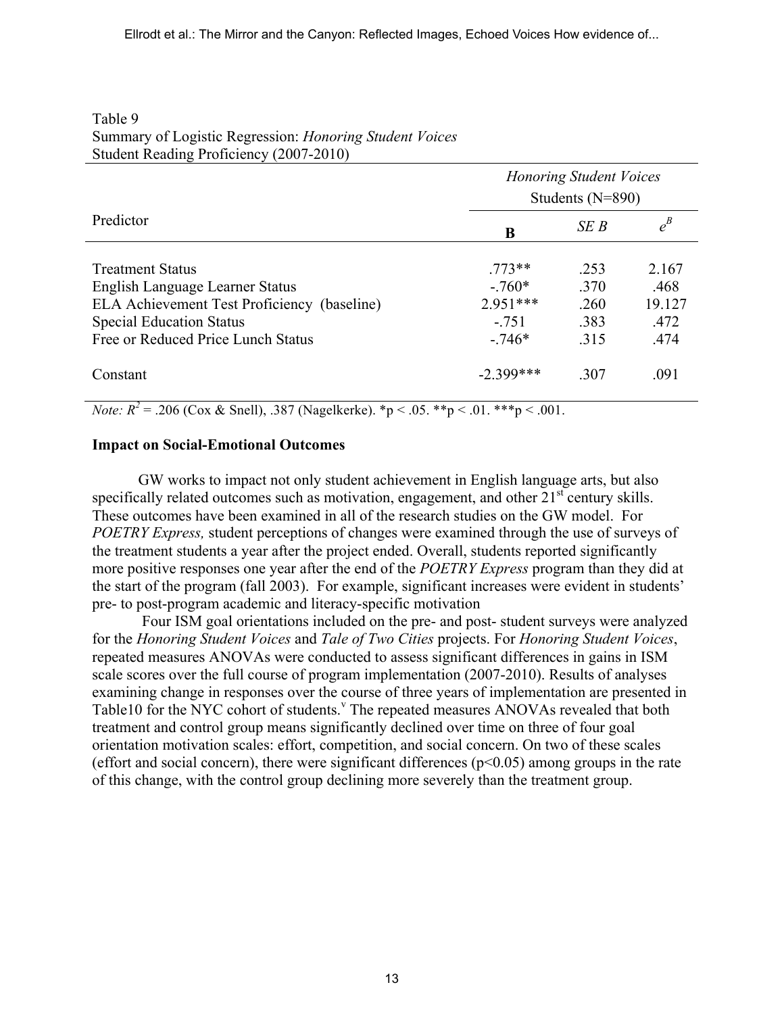| $-001 - 010$                                |                                                      |      |         |
|---------------------------------------------|------------------------------------------------------|------|---------|
|                                             | <b>Honoring Student Voices</b><br>Students $(N=890)$ |      |         |
| Predictor                                   | B                                                    | SEB  | $e^{B}$ |
| <b>Treatment Status</b>                     | $.773**$                                             | .253 | 2.167   |
| English Language Learner Status             | $-760*$                                              | .370 | .468    |
| ELA Achievement Test Proficiency (baseline) | $2.951***$                                           | .260 | 19.127  |
| <b>Special Education Status</b>             | $-751$                                               | .383 | .472    |
| Free or Reduced Price Lunch Status          | $-746*$                                              | .315 | .474    |
| Constant                                    | $-2.399***$                                          | .307 | .091    |

### Table 9 Summary of Logistic Regression: *Honoring Student Voices*  Student Reading Proficiency (2007-2010)

*Note:*  $R^2$  = .206 (Cox & Snell), .387 (Nagelkerke). \*p < .05. \*\*p < .01. \*\*\*p < .001.

# **Impact on Social-Emotional Outcomes**

GW works to impact not only student achievement in English language arts, but also specifically related outcomes such as motivation, engagement, and other  $21<sup>st</sup>$  century skills. These outcomes have been examined in all of the research studies on the GW model. For *POETRY Express,* student perceptions of changes were examined through the use of surveys of the treatment students a year after the project ended. Overall, students reported significantly more positive responses one year after the end of the *POETRY Express* program than they did at the start of the program (fall 2003). For example, significant increases were evident in students' pre- to post-program academic and literacy-specific motivation

Four ISM goal orientations included on the pre- and post- student surveys were analyzed for the *Honoring Student Voices* and *Tale of Two Cities* projects. For *Honoring Student Voices*, repeated measures ANOVAs were conducted to assess significant differences in gains in ISM scale scores over the full course of program implementation (2007-2010). Results of analyses examining change in responses over the course of three years of implementation are presented in Table10 for the NYC cohort of students.<sup>v</sup> The repeated measures ANOVAs revealed that both treatment and control group means significantly declined over time on three of four goal orientation motivation scales: effort, competition, and social concern. On two of these scales (effort and social concern), there were significant differences  $(p<0.05)$  among groups in the rate of this change, with the control group declining more severely than the treatment group.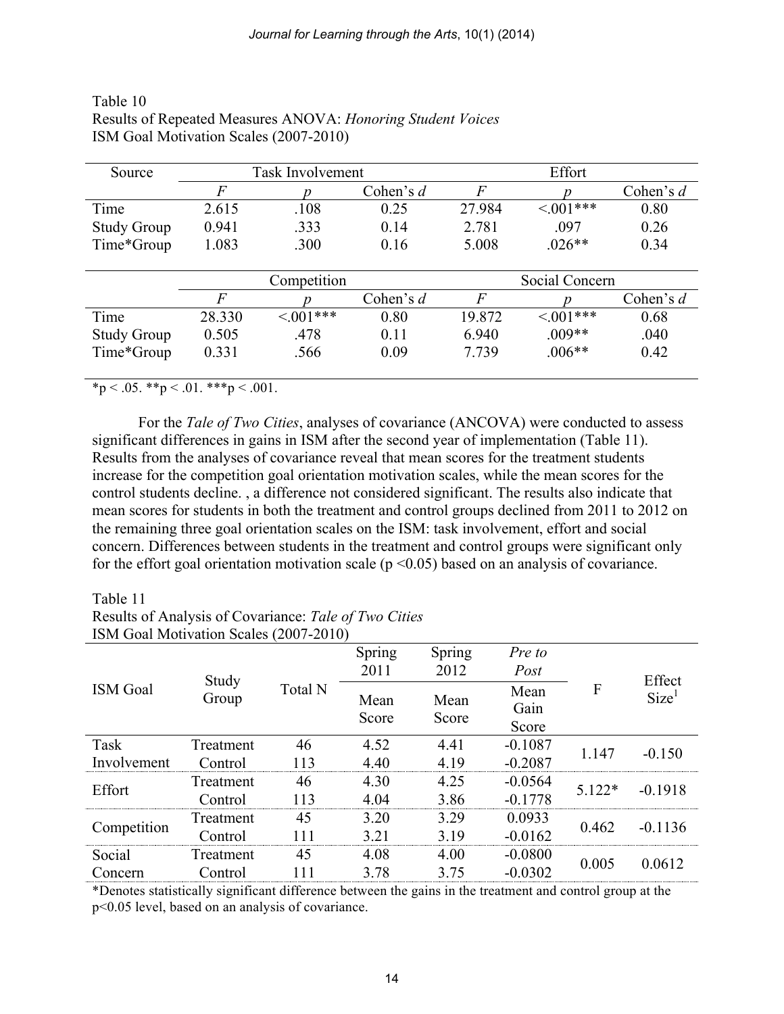| Source             | <b>Task Involvement</b> |                |             | Effort |                |             |
|--------------------|-------------------------|----------------|-------------|--------|----------------|-------------|
|                    | $\,F$                   |                | Cohen's $d$ | F      |                | Cohen's $d$ |
| Time               | 2.615                   | .108           | 0.25        | 27.984 | $\leq 0.01***$ | 0.80        |
| <b>Study Group</b> | 0.941                   | .333           | 0.14        | 2.781  | .097           | 0.26        |
| Time*Group         | 1.083                   | .300           | 0.16        | 5.008  | $.026**$       | 0.34        |
|                    |                         |                |             |        |                |             |
|                    |                         |                |             |        |                |             |
|                    |                         | Competition    |             |        | Social Concern |             |
|                    | F                       |                | Cohen's $d$ | F      |                | Cohen's $d$ |
| Time               | 28.330                  | $\leq 0.01***$ | 0.80        | 19.872 | $<001***$      | 0.68        |
| <b>Study Group</b> | 0.505                   | .478           | 0.11        | 6.940  | $.009**$       | .040        |
| Time*Group         | 0.331                   | .566           | 0.09        | 7.739  | $.006**$       | 0.42        |

Table 10 Results of Repeated Measures ANOVA: *Honoring Student Voices* ISM Goal Motivation Scales (2007-2010)

 $*<sub>p</sub> < .05.$   $*<sub>p</sub> < .01.$   $*<sub>p</sub> < .001.$ 

For the *Tale of Two Cities*, analyses of covariance (ANCOVA) were conducted to assess significant differences in gains in ISM after the second year of implementation (Table 11). Results from the analyses of covariance reveal that mean scores for the treatment students increase for the competition goal orientation motivation scales, while the mean scores for the control students decline. , a difference not considered significant. The results also indicate that mean scores for students in both the treatment and control groups declined from 2011 to 2012 on the remaining three goal orientation scales on the ISM: task involvement, effort and social concern. Differences between students in the treatment and control groups were significant only for the effort goal orientation motivation scale ( $p \le 0.05$ ) based on an analysis of covariance.

Table 11

Results of Analysis of Covariance: *Tale of Two Cities* ISM Goal Motivation Scales (2007-2010)

| $101.1$ Ovar montration beared (2007 2010) |                |         |                |                |                       |          |                             |
|--------------------------------------------|----------------|---------|----------------|----------------|-----------------------|----------|-----------------------------|
| <b>ISM</b> Goal                            |                | Total N | Spring<br>2011 | Spring<br>2012 | Pre to<br>Post        |          | Effect<br>Size <sup>1</sup> |
|                                            | Study<br>Group |         | Mean<br>Score  | Mean<br>Score  | Mean<br>Gain<br>Score | F        |                             |
| Task                                       | Treatment      | 46      | 4.52           | 4.41           | $-0.1087$             | 1.147    | $-0.150$                    |
| Involvement                                | Control        | 113     | 4.40           | 4.19           | $-0.2087$             |          |                             |
| Effort                                     | Treatment      | 46      | 4.30           | 4.25           | $-0.0564$             | $5.122*$ | $-0.1918$                   |
|                                            | Control        | 113     | 4.04           | 3.86           | $-0.1778$             |          |                             |
|                                            | Treatment      | 45      | 3.20           | 3.29           | 0.0933                | 0.462    | $-0.1136$                   |
| Competition                                | Control        | 111     | 3.21           | 3.19           | $-0.0162$             |          |                             |
| Social                                     | Treatment      | 45      | 4.08           | 4.00           | $-0.0800$             |          | 0.0612                      |
| Concern                                    | Control        |         | 3.78           | 3.75           | $-0.0302$             | 0.005    |                             |

\*Denotes statistically significant difference between the gains in the treatment and control group at the p<0.05 level, based on an analysis of covariance.

14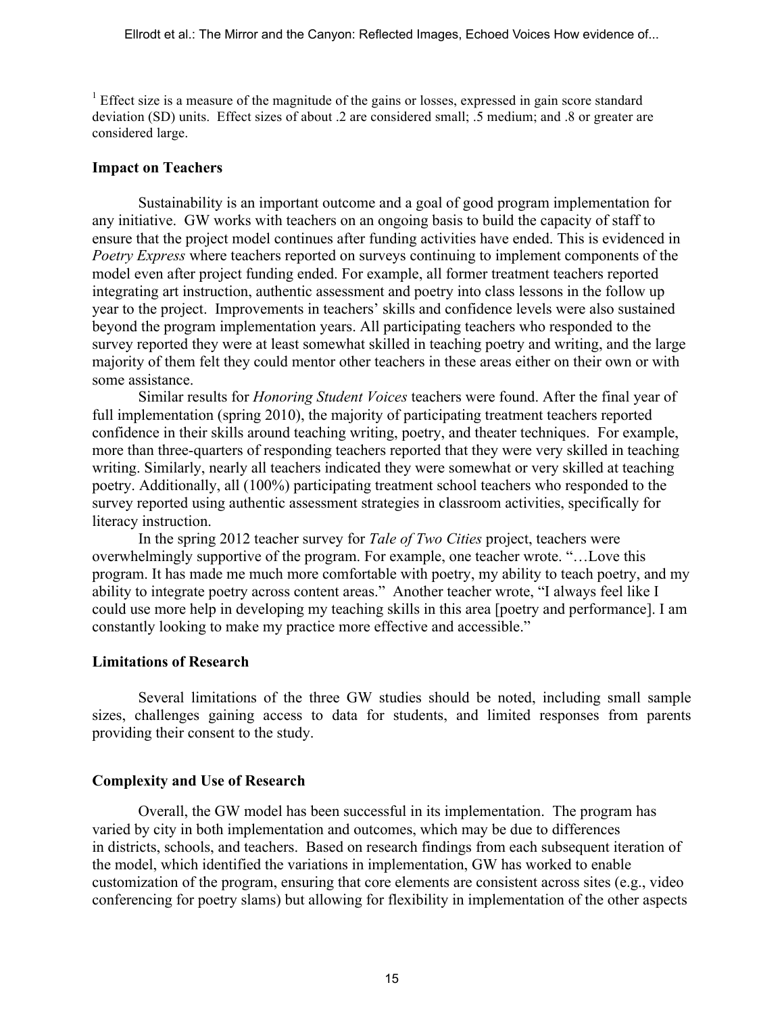<sup>1</sup> Effect size is a measure of the magnitude of the gains or losses, expressed in gain score standard deviation (SD) units. Effect sizes of about .2 are considered small; .5 medium; and .8 or greater are considered large.

### **Impact on Teachers**

Sustainability is an important outcome and a goal of good program implementation for any initiative. GW works with teachers on an ongoing basis to build the capacity of staff to ensure that the project model continues after funding activities have ended. This is evidenced in *Poetry Express* where teachers reported on surveys continuing to implement components of the model even after project funding ended. For example, all former treatment teachers reported integrating art instruction, authentic assessment and poetry into class lessons in the follow up year to the project. Improvements in teachers' skills and confidence levels were also sustained beyond the program implementation years. All participating teachers who responded to the survey reported they were at least somewhat skilled in teaching poetry and writing, and the large majority of them felt they could mentor other teachers in these areas either on their own or with some assistance.

Similar results for *Honoring Student Voices* teachers were found. After the final year of full implementation (spring 2010), the majority of participating treatment teachers reported confidence in their skills around teaching writing, poetry, and theater techniques. For example, more than three-quarters of responding teachers reported that they were very skilled in teaching writing. Similarly, nearly all teachers indicated they were somewhat or very skilled at teaching poetry. Additionally, all (100%) participating treatment school teachers who responded to the survey reported using authentic assessment strategies in classroom activities, specifically for literacy instruction.

In the spring 2012 teacher survey for *Tale of Two Cities* project, teachers were overwhelmingly supportive of the program. For example, one teacher wrote. "…Love this program. It has made me much more comfortable with poetry, my ability to teach poetry, and my ability to integrate poetry across content areas." Another teacher wrote, "I always feel like I could use more help in developing my teaching skills in this area [poetry and performance]. I am constantly looking to make my practice more effective and accessible."

# **Limitations of Research**

Several limitations of the three GW studies should be noted, including small sample sizes, challenges gaining access to data for students, and limited responses from parents providing their consent to the study.

# **Complexity and Use of Research**

Overall, the GW model has been successful in its implementation. The program has varied by city in both implementation and outcomes, which may be due to differences in districts, schools, and teachers. Based on research findings from each subsequent iteration of the model, which identified the variations in implementation, GW has worked to enable customization of the program, ensuring that core elements are consistent across sites (e.g., video conferencing for poetry slams) but allowing for flexibility in implementation of the other aspects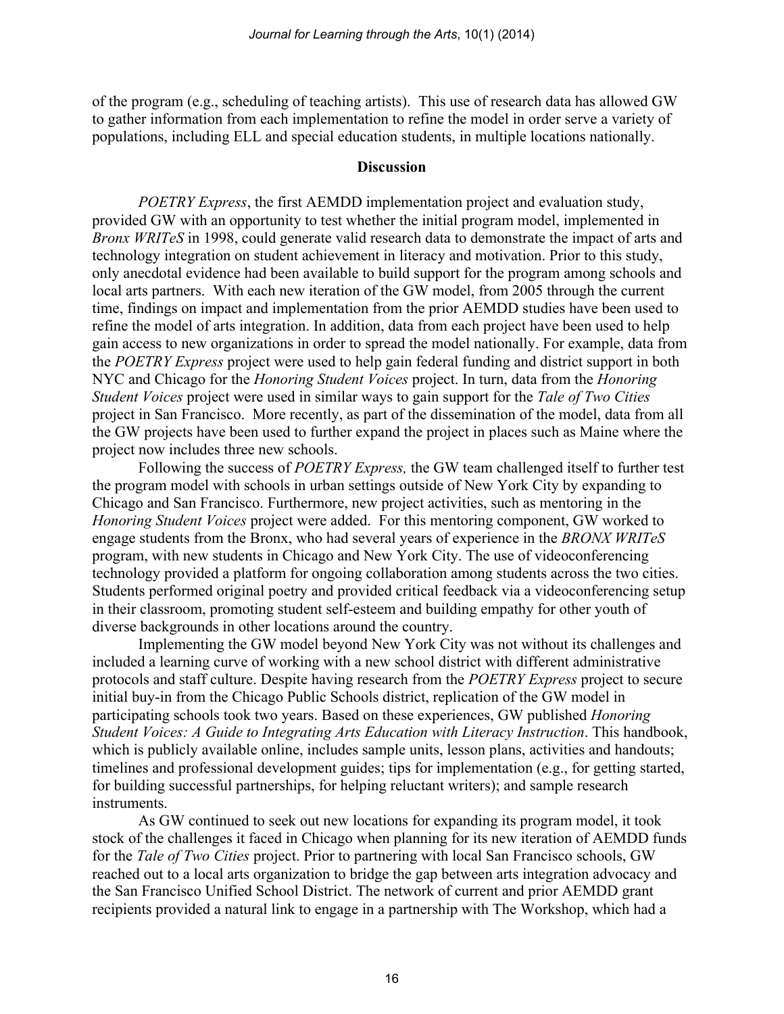of the program (e.g., scheduling of teaching artists). This use of research data has allowed GW to gather information from each implementation to refine the model in order serve a variety of populations, including ELL and special education students, in multiple locations nationally.

#### **Discussion**

*POETRY Express*, the first AEMDD implementation project and evaluation study, provided GW with an opportunity to test whether the initial program model, implemented in *Bronx WRITeS* in 1998, could generate valid research data to demonstrate the impact of arts and technology integration on student achievement in literacy and motivation. Prior to this study, only anecdotal evidence had been available to build support for the program among schools and local arts partners. With each new iteration of the GW model, from 2005 through the current time, findings on impact and implementation from the prior AEMDD studies have been used to refine the model of arts integration. In addition, data from each project have been used to help gain access to new organizations in order to spread the model nationally. For example, data from the *POETRY Express* project were used to help gain federal funding and district support in both NYC and Chicago for the *Honoring Student Voices* project. In turn, data from the *Honoring Student Voices* project were used in similar ways to gain support for the *Tale of Two Cities* project in San Francisco. More recently, as part of the dissemination of the model, data from all the GW projects have been used to further expand the project in places such as Maine where the project now includes three new schools.

Following the success of *POETRY Express,* the GW team challenged itself to further test the program model with schools in urban settings outside of New York City by expanding to Chicago and San Francisco. Furthermore, new project activities, such as mentoring in the *Honoring Student Voices* project were added. For this mentoring component, GW worked to engage students from the Bronx, who had several years of experience in the *BRONX WRITeS*  program, with new students in Chicago and New York City. The use of videoconferencing technology provided a platform for ongoing collaboration among students across the two cities. Students performed original poetry and provided critical feedback via a videoconferencing setup in their classroom, promoting student self-esteem and building empathy for other youth of diverse backgrounds in other locations around the country.

Implementing the GW model beyond New York City was not without its challenges and included a learning curve of working with a new school district with different administrative protocols and staff culture. Despite having research from the *POETRY Express* project to secure initial buy-in from the Chicago Public Schools district, replication of the GW model in participating schools took two years. Based on these experiences, GW published *Honoring Student Voices: A Guide to Integrating Arts Education with Literacy Instruction*. This handbook, which is publicly available online, includes sample units, lesson plans, activities and handouts; timelines and professional development guides; tips for implementation (e.g., for getting started, for building successful partnerships, for helping reluctant writers); and sample research instruments.

As GW continued to seek out new locations for expanding its program model, it took stock of the challenges it faced in Chicago when planning for its new iteration of AEMDD funds for the *Tale of Two Cities* project. Prior to partnering with local San Francisco schools, GW reached out to a local arts organization to bridge the gap between arts integration advocacy and the San Francisco Unified School District. The network of current and prior AEMDD grant recipients provided a natural link to engage in a partnership with The Workshop, which had a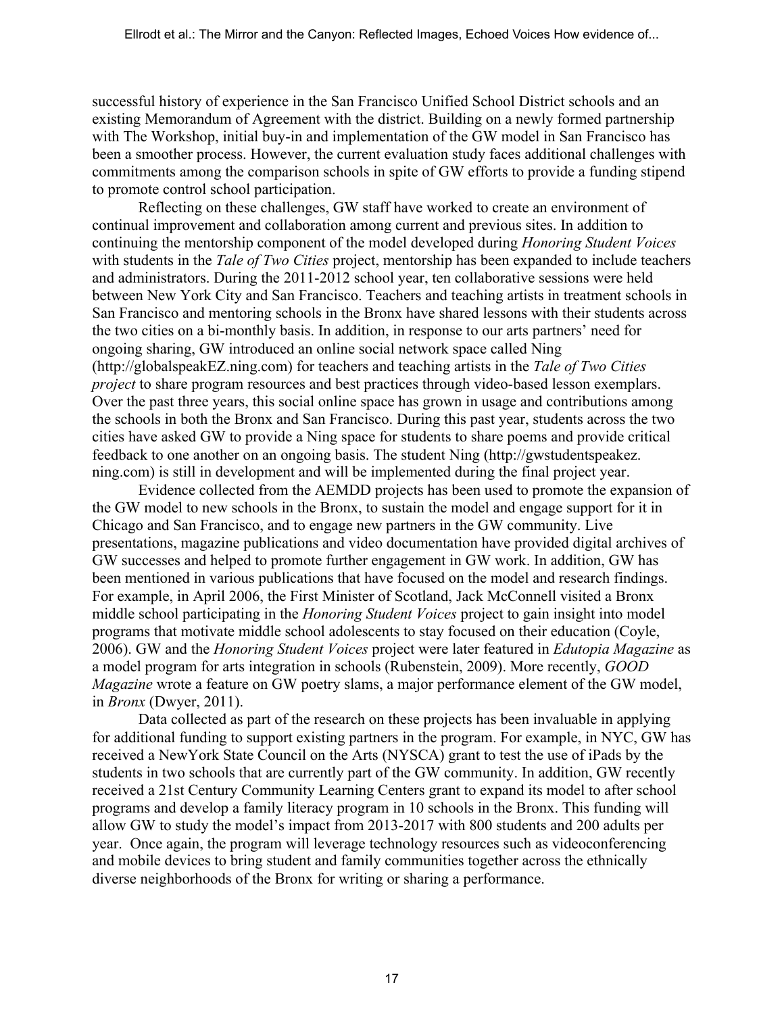successful history of experience in the San Francisco Unified School District schools and an existing Memorandum of Agreement with the district. Building on a newly formed partnership with The Workshop, initial buy-in and implementation of the GW model in San Francisco has been a smoother process. However, the current evaluation study faces additional challenges with commitments among the comparison schools in spite of GW efforts to provide a funding stipend to promote control school participation.

Reflecting on these challenges, GW staff have worked to create an environment of continual improvement and collaboration among current and previous sites. In addition to continuing the mentorship component of the model developed during *Honoring Student Voices* with students in the *Tale of Two Cities* project, mentorship has been expanded to include teachers and administrators. During the 2011-2012 school year, ten collaborative sessions were held between New York City and San Francisco. Teachers and teaching artists in treatment schools in San Francisco and mentoring schools in the Bronx have shared lessons with their students across the two cities on a bi-monthly basis. In addition, in response to our arts partners' need for ongoing sharing, GW introduced an online social network space called Ning (http://globalspeakEZ.ning.com) for teachers and teaching artists in the *Tale of Two Cities project* to share program resources and best practices through video-based lesson exemplars. Over the past three years, this social online space has grown in usage and contributions among the schools in both the Bronx and San Francisco. During this past year, students across the two cities have asked GW to provide a Ning space for students to share poems and provide critical feedback to one another on an ongoing basis. The student Ning (http://gwstudentspeakez. ning.com) is still in development and will be implemented during the final project year.

Evidence collected from the AEMDD projects has been used to promote the expansion of the GW model to new schools in the Bronx, to sustain the model and engage support for it in Chicago and San Francisco, and to engage new partners in the GW community. Live presentations, magazine publications and video documentation have provided digital archives of GW successes and helped to promote further engagement in GW work. In addition, GW has been mentioned in various publications that have focused on the model and research findings. For example, in April 2006, the First Minister of Scotland, Jack McConnell visited a Bronx middle school participating in the *Honoring Student Voices* project to gain insight into model programs that motivate middle school adolescents to stay focused on their education (Coyle, 2006). GW and the *Honoring Student Voices* project were later featured in *Edutopia Magazine* as a model program for arts integration in schools (Rubenstein, 2009). More recently, *GOOD Magazine* wrote a feature on GW poetry slams, a major performance element of the GW model, in *Bronx* (Dwyer, 2011).

Data collected as part of the research on these projects has been invaluable in applying for additional funding to support existing partners in the program. For example, in NYC, GW has received a NewYork State Council on the Arts (NYSCA) grant to test the use of iPads by the students in two schools that are currently part of the GW community. In addition, GW recently received a 21st Century Community Learning Centers grant to expand its model to after school programs and develop a family literacy program in 10 schools in the Bronx. This funding will allow GW to study the model's impact from 2013-2017 with 800 students and 200 adults per year. Once again, the program will leverage technology resources such as videoconferencing and mobile devices to bring student and family communities together across the ethnically diverse neighborhoods of the Bronx for writing or sharing a performance.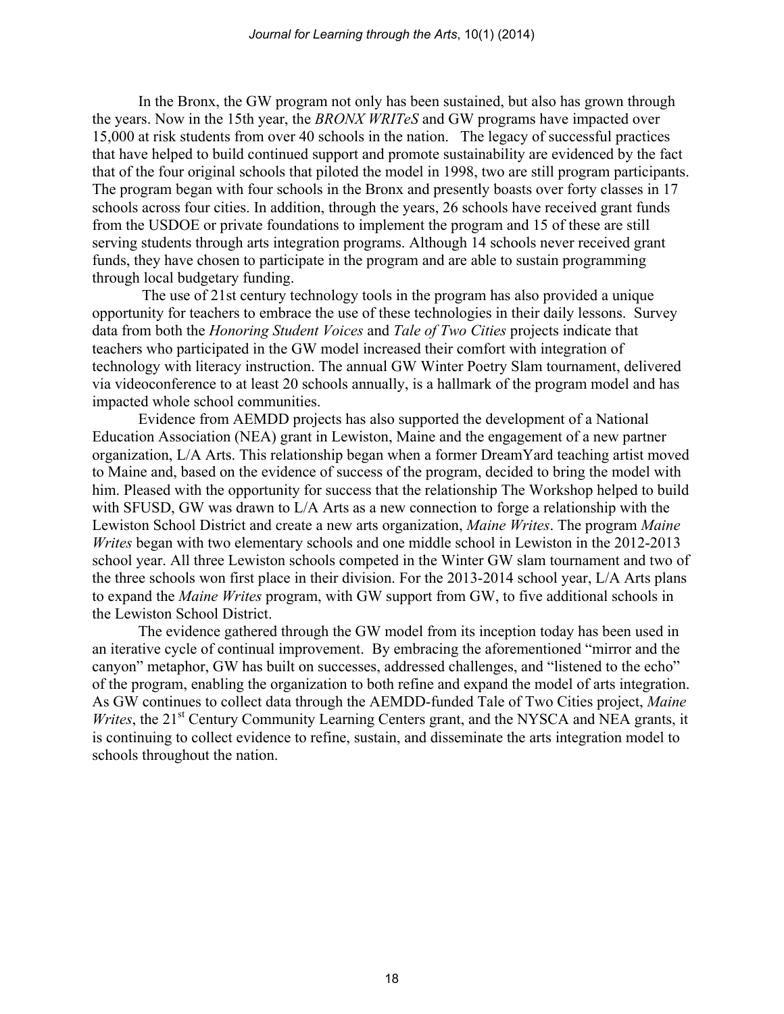In the Bronx, the GW program not only has been sustained, but also has grown through the years. Now in the 15th year, the *BRONX WRITeS* and GW programs have impacted over 15,000 at risk students from over 40 schools in the nation. The legacy of successful practices that have helped to build continued support and promote sustainability are evidenced by the fact that of the four original schools that piloted the model in 1998, two are still program participants. The program began with four schools in the Bronx and presently boasts over forty classes in 17 schools across four cities. In addition, through the years, 26 schools have received grant funds from the USDOE or private foundations to implement the program and 15 of these are still serving students through arts integration programs. Although 14 schools never received grant funds, they have chosen to participate in the program and are able to sustain programming through local budgetary funding.

The use of 21st century technology tools in the program has also provided a unique opportunity for teachers to embrace the use of these technologies in their daily lessons. Survey data from both the *Honoring Student Voices* and *Tale of Two Cities* projects indicate that teachers who participated in the GW model increased their comfort with integration of technology with literacy instruction. The annual GW Winter Poetry Slam tournament, delivered via videoconference to at least 20 schools annually, is a hallmark of the program model and has impacted whole school communities.

Evidence from AEMDD projects has also supported the development of a National Education Association (NEA) grant in Lewiston, Maine and the engagement of a new partner organization, L/A Arts. This relationship began when a former DreamYard teaching artist moved to Maine and, based on the evidence of success of the program, decided to bring the model with him. Pleased with the opportunity for success that the relationship The Workshop helped to build with SFUSD, GW was drawn to L/A Arts as a new connection to forge a relationship with the Lewiston School District and create a new arts organization, *Maine Writes*. The program *Maine Writes* began with two elementary schools and one middle school in Lewiston in the 2012-2013 school year. All three Lewiston schools competed in the Winter GW slam tournament and two of the three schools won first place in their division. For the 2013-2014 school year, L/A Arts plans to expand the *Maine Writes* program, with GW support from GW, to five additional schools in the Lewiston School District.

The evidence gathered through the GW model from its inception today has been used in an iterative cycle of continual improvement. By embracing the aforementioned "mirror and the canyon" metaphor, GW has built on successes, addressed challenges, and "listened to the echo" of the program, enabling the organization to both refine and expand the model of arts integration. As GW continues to collect data through the AEMDD-funded Tale of Two Cities project, *Maine Writes*, the 21<sup>st</sup> Century Community Learning Centers grant, and the NYSCA and NEA grants, it is continuing to collect evidence to refine, sustain, and disseminate the arts integration model to schools throughout the nation.